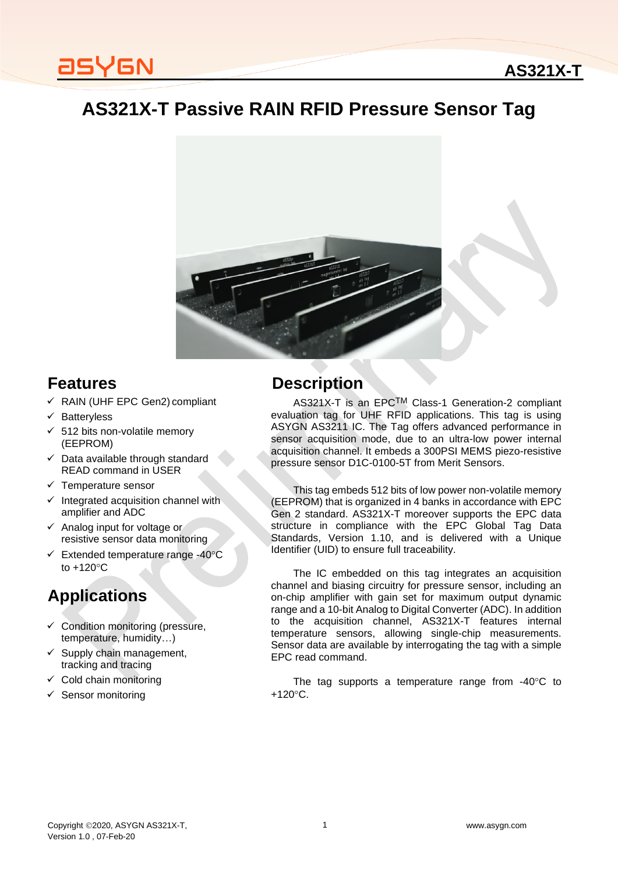### **AS321X-T**

# **AS321X-T Passive RAIN RFID Pressure Sensor Tag**



### **Features**

- ✓ RAIN (UHF EPC Gen2) compliant
- ✓ Batteryless
- $\times$  512 bits non-volatile memory (EEPROM)
- ✓ Data available through standard READ command in USER
- ✓ Temperature sensor
- Integrated acquisition channel with amplifier and ADC
- ✓ Analog input for voltage or resistive sensor data monitoring
- $\checkmark$  Extended temperature range -40 $\degree$ C to  $+120^{\circ}$ C

## **Applications**

- $\checkmark$  Condition monitoring (pressure, temperature, humidity…)
- $\checkmark$  Supply chain management, tracking and tracing
- $\checkmark$  Cold chain monitoring
- Sensor monitoring

### **Description**

AS321X-T is an EPCTM Class-1 Generation-2 compliant evaluation tag for UHF RFID applications. This tag is using ASYGN AS3211 IC. The Tag offers advanced performance in sensor acquisition mode, due to an ultra-low power internal acquisition channel. It embeds a 300PSI MEMS piezo-resistive pressure sensor D1C-0100-5T from Merit Sensors.

This tag embeds 512 bits of low power non-volatile memory (EEPROM) that is organized in 4 banks in accordance with EPC Gen 2 standard. AS321X-T moreover supports the EPC data structure in compliance with the EPC Global Tag Data Standards, Version 1.10, and is delivered with a Unique Identifier (UID) to ensure full traceability.

The IC embedded on this tag integrates an acquisition channel and biasing circuitry for pressure sensor, including an on-chip amplifier with gain set for maximum output dynamic range and a 10-bit Analog to Digital Converter (ADC). In addition to the acquisition channel, AS321X-T features internal temperature sensors, allowing single-chip measurements. Sensor data are available by interrogating the tag with a simple EPC read command.

The tag supports a temperature range from  $-40^{\circ}$ C to  $+120^{\circ}$ C.